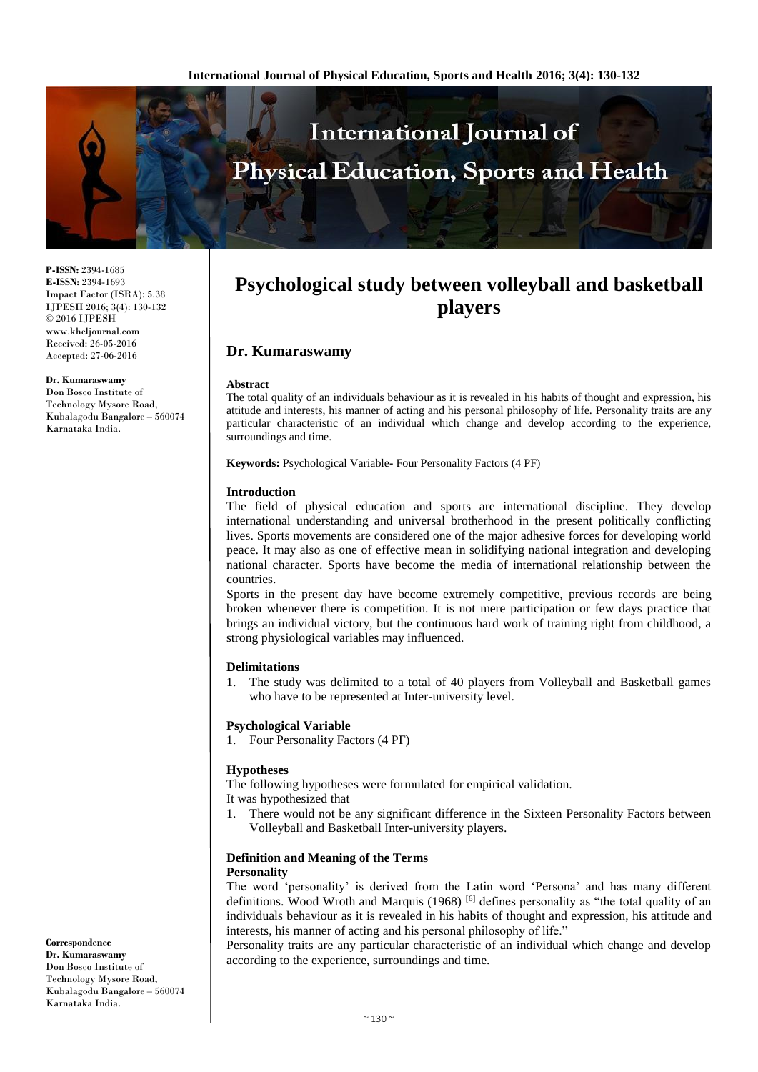

**P-ISSN:** 2394-1685 **E-ISSN:** 2394-1693 Impact Factor (ISRA): 5.38 IJPESH 2016; 3(4): 130-132 © 2016 IJPESH www.kheljournal.com Received: 26-05-2016 Accepted: 27-06-2016

**Dr. Kumaraswamy**

Don Bosco Institute of Technology Mysore Road, Kubalagodu Bangalore – 560074 Karnataka India.

# **Psychological study between volleyball and basketball players**

# **Dr. Kumaraswamy**

#### **Abstract**

The total quality of an individuals behaviour as it is revealed in his habits of thought and expression, his attitude and interests, his manner of acting and his personal philosophy of life. Personality traits are any particular characteristic of an individual which change and develop according to the experience, surroundings and time.

**Keywords:** Psychological Variable**-** Four Personality Factors (4 PF)

#### **Introduction**

The field of physical education and sports are international discipline. They develop international understanding and universal brotherhood in the present politically conflicting lives. Sports movements are considered one of the major adhesive forces for developing world peace. It may also as one of effective mean in solidifying national integration and developing national character. Sports have become the media of international relationship between the countries.

Sports in the present day have become extremely competitive, previous records are being broken whenever there is competition. It is not mere participation or few days practice that brings an individual victory, but the continuous hard work of training right from childhood, a strong physiological variables may influenced.

#### **Delimitations**

1. The study was delimited to a total of 40 players from Volleyball and Basketball games who have to be represented at Inter-university level.

#### **Psychological Variable**

1. Four Personality Factors (4 PF)

#### **Hypotheses**

The following hypotheses were formulated for empirical validation. It was hypothesized that

1. There would not be any significant difference in the Sixteen Personality Factors between Volleyball and Basketball Inter-university players.

# **Definition and Meaning of the Terms**

#### **Personality**

The word 'personality' is derived from the Latin word 'Persona' and has many different definitions. Wood Wroth and Marquis (1968) <sup>[6]</sup> defines personality as "the total quality of an individuals behaviour as it is revealed in his habits of thought and expression, his attitude and interests, his manner of acting and his personal philosophy of life."

Personality traits are any particular characteristic of an individual which change and develop according to the experience, surroundings and time.

**Correspondence Dr. Kumaraswamy** Don Bosco Institute of Technology Mysore Road, Kubalagodu Bangalore – 560074 Karnataka India.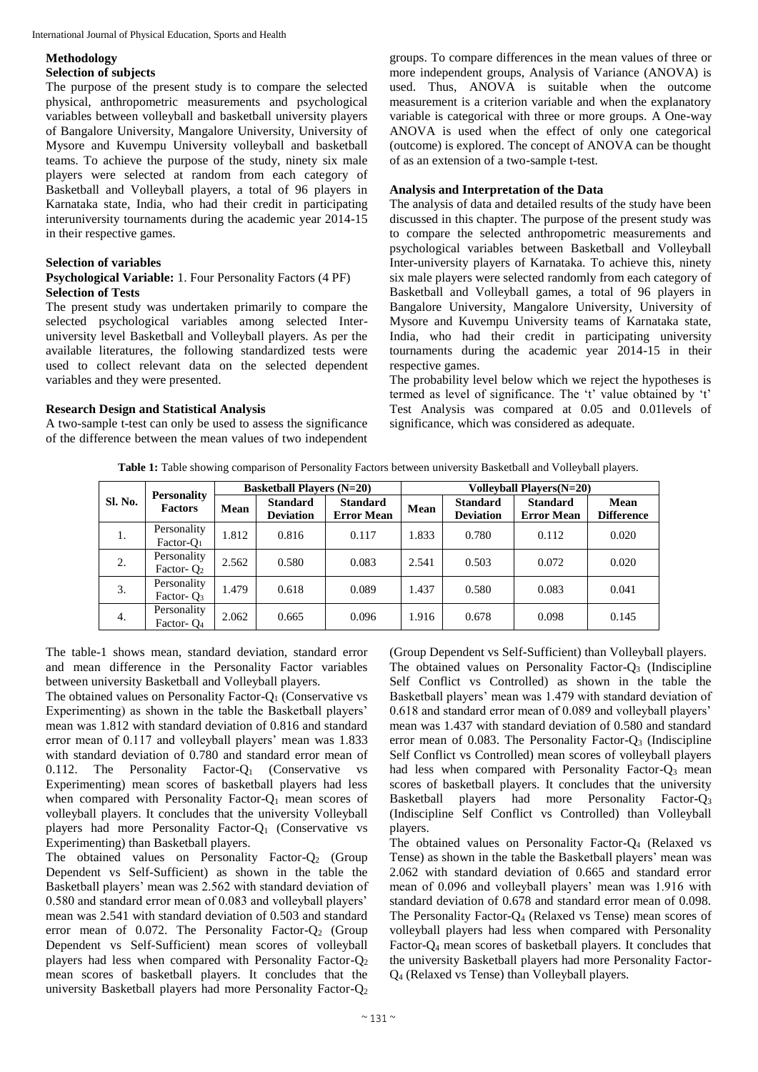#### International Journal of Physical Education, Sports and Health

#### **Methodology**

#### **Selection of subjects**

The purpose of the present study is to compare the selected physical, anthropometric measurements and psychological variables between volleyball and basketball university players of Bangalore University, Mangalore University, University of Mysore and Kuvempu University volleyball and basketball teams. To achieve the purpose of the study, ninety six male players were selected at random from each category of Basketball and Volleyball players, a total of 96 players in Karnataka state, India, who had their credit in participating interuniversity tournaments during the academic year 2014-15 in their respective games.

#### **Selection of variables**

#### **Psychological Variable:** 1. Four Personality Factors (4 PF) **Selection of Tests**

The present study was undertaken primarily to compare the selected psychological variables among selected Interuniversity level Basketball and Volleyball players. As per the available literatures, the following standardized tests were used to collect relevant data on the selected dependent variables and they were presented.

## **Research Design and Statistical Analysis**

A two-sample t-test can only be used to assess the significance of the difference between the mean values of two independent groups. To compare differences in the mean values of three or more independent groups, Analysis of Variance (ANOVA) is used. Thus, ANOVA is suitable when the outcome measurement is a criterion variable and when the explanatory variable is categorical with three or more groups. A One-way ANOVA is used when the effect of only one categorical (outcome) is explored. The concept of ANOVA can be thought of as an extension of a two-sample t-test.

### **Analysis and Interpretation of the Data**

The analysis of data and detailed results of the study have been discussed in this chapter. The purpose of the present study was to compare the selected anthropometric measurements and psychological variables between Basketball and Volleyball Inter-university players of Karnataka. To achieve this, ninety six male players were selected randomly from each category of Basketball and Volleyball games, a total of 96 players in Bangalore University, Mangalore University, University of Mysore and Kuvempu University teams of Karnataka state, India, who had their credit in participating university tournaments during the academic year 2014-15 in their respective games.

The probability level below which we reject the hypotheses is termed as level of significance. The 't' value obtained by 't' Test Analysis was compared at 0.05 and 0.01levels of significance, which was considered as adequate.

**Table 1:** Table showing comparison of Personality Factors between university Basketball and Volleyball players.

| Sl. No. | <b>Personality</b><br><b>Factors</b>  | <b>Basketball Players (N=20)</b> |                                     |                                      | <b>Volleyball Players(N=20)</b> |                                     |                                      |                                  |
|---------|---------------------------------------|----------------------------------|-------------------------------------|--------------------------------------|---------------------------------|-------------------------------------|--------------------------------------|----------------------------------|
|         |                                       | Mean                             | <b>Standard</b><br><b>Deviation</b> | <b>Standard</b><br><b>Error Mean</b> | Mean                            | <b>Standard</b><br><b>Deviation</b> | <b>Standard</b><br><b>Error Mean</b> | <b>Mean</b><br><b>Difference</b> |
| 1.      | Personality<br>Factor- $O_1$          | 1.812                            | 0.816                               | 0.117                                | 1.833                           | 0.780                               | 0.112                                | 0.020                            |
| 2.      | Personality<br>Factor- $O2$           | 2.562                            | 0.580                               | 0.083                                | 2.541                           | 0.503                               | 0.072                                | 0.020                            |
| 3.      | Personality<br>Factor- $Q_3$          | 1.479                            | 0.618                               | 0.089                                | 1.437                           | 0.580                               | 0.083                                | 0.041                            |
| 4.      | Personality<br>Factor- O <sub>4</sub> | 2.062                            | 0.665                               | 0.096                                | 1.916                           | 0.678                               | 0.098                                | 0.145                            |

The table-1 shows mean, standard deviation, standard error and mean difference in the Personality Factor variables between university Basketball and Volleyball players.

The obtained values on Personality Factor-O<sub>1</sub> (Conservative vs) Experimenting) as shown in the table the Basketball players' mean was 1.812 with standard deviation of 0.816 and standard error mean of 0.117 and volleyball players' mean was 1.833 with standard deviation of 0.780 and standard error mean of 0.112. The Personality Factor- $Q_1$  (Conservative vs Experimenting) mean scores of basketball players had less when compared with Personality Factor- $Q_1$  mean scores of volleyball players. It concludes that the university Volleyball players had more Personality Factor-Q<sup>1</sup> (Conservative vs Experimenting) than Basketball players.

The obtained values on Personality Factor- $Q_2$  (Group Dependent vs Self-Sufficient) as shown in the table the Basketball players' mean was 2.562 with standard deviation of 0.580 and standard error mean of 0.083 and volleyball players' mean was 2.541 with standard deviation of 0.503 and standard error mean of 0.072. The Personality Factor- $Q_2$  (Group Dependent vs Self-Sufficient) mean scores of volleyball players had less when compared with Personality Factor-Q<sup>2</sup> mean scores of basketball players. It concludes that the university Basketball players had more Personality Factor-Q<sup>2</sup>

(Group Dependent vs Self-Sufficient) than Volleyball players. The obtained values on Personality Factor- $Q_3$  (Indiscipline Self Conflict vs Controlled) as shown in the table the Basketball players' mean was 1.479 with standard deviation of 0.618 and standard error mean of 0.089 and volleyball players' mean was 1.437 with standard deviation of 0.580 and standard error mean of  $0.083$ . The Personality Factor- $Q_3$  (Indiscipline Self Conflict vs Controlled) mean scores of volleyball players had less when compared with Personality Factor-Q<sub>3</sub> mean scores of basketball players. It concludes that the university Basketball players had more Personality Factor-Q<sup>3</sup> (Indiscipline Self Conflict vs Controlled) than Volleyball players.

The obtained values on Personality Factor-Q<sup>4</sup> (Relaxed vs Tense) as shown in the table the Basketball players' mean was 2.062 with standard deviation of 0.665 and standard error mean of 0.096 and volleyball players' mean was 1.916 with standard deviation of 0.678 and standard error mean of 0.098. The Personality Factor-Q<sup>4</sup> (Relaxed vs Tense) mean scores of volleyball players had less when compared with Personality Factor-Q<sup>4</sup> mean scores of basketball players. It concludes that the university Basketball players had more Personality Factor-Q<sup>4</sup> (Relaxed vs Tense) than Volleyball players.